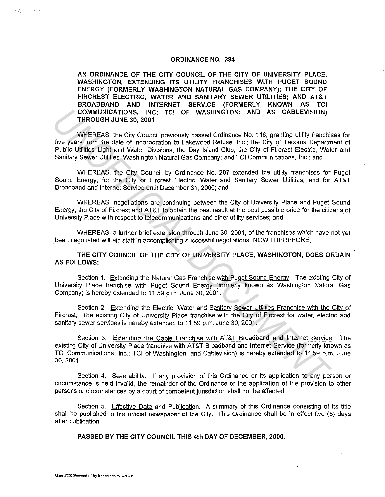## **ORDINANCE NO. 294**

**AN ORDINANCE OF THE CITY COUNCIL OF THE CITY OF UNIVERSITY PLACE, WASHINGTON, EXTENDING ITS UTILITY FRANCHISES WITH PUGET SOUND ENERGY (FORMERLY WASHINGTON NATURAL GAS COMPANY); THE CITY OF FIRCREST ELECTRIC, WATER AND SANITARY SEWER UTILITIES; AND AT&T BROADBAND AND INTERNET SERVICE (FORMERLY KNOWN AS TCI COMMUNICATIONS, INC; TCI OF WASHINGTON; AND AS CABLEVISION) THROUGH JUNE 30, 2001** 

WHEREAS, the City Council previously passed Ordinance No. 116, granting utility franchises for five years from the date of incorporation to Lakewood Refuse, Inc.; the City of Tacoma Department of Public Utilities Light and Water Divisions; the Day Island Club; the City of Fircrest Electric, Water and Sanitary Sewer Utilities; Washington Natural Gas Company; and TCI Communications, Inc.; and COMMUNICATIONS, INC; TCI OF WASHINGTON; AND AS CABLEVISION)<br> *WHEREAS, the City Council previously passed Ordinance No. 116, granting utility franchis<br>
NV EREAS, the City Council previously passed Ordinance No. 116, granti* 

WHEREAS, the City Council by Ordinance No. 287 extended the utility franchises for Puget Sound Energy, for the City of Fircrest Electric, Water and Sanitary Sewer Utilities, and for AT&T Broadband and Internet Service until December 31, 2000; and

WHEREAS, negotiations are continuing between the City of University Place and Puget Sound Energy, the City of Fircrest and AT&T to obtain the best result at the best possible price for the citizens of University Place with respect to telecommunications and other utility services; and ·

WHEREAS, a further brief extension through June 30, 2001, of the franchises which have not yet been negotiated will aid staff in accomplishing successful negotiations, NOW THEREFORE,

**THE CITY COUNCIL OF THE CITY OF UNIVERSITY PLACE, WASHINGTON, DOES ORDAIN AS FOLLOWS:** 

Section 1. Extending the Natural Gas Franchise with Puget Sound Energy. The existing City of University Place franchise with Puget Sound Energy (formerly known as Washington Natural Gas Company) is hereby extended to 11 :59 p.m. June 30, 2001.

Section 2. Extending the Electric, Water and Sanitary Sewer Utilities Franchise with the City of Fircrest, The existing City of University Place franchise with the City of Fircrest for water, electric and sanitary sewer services is hereby extended to 11:59 p.m. June 30, 2001.

Section 3. Extending the Cable Franchise with AT&T Broadband and Internet Service. The existing City of University Place franchise with AT&T Broadband and Internet Service (formerly known as TCI Communications, Inc.; TCI of Washington; and Cablevision) is hereby extended to 11:59 p.m. June 30, 2001.

Section 4. Severability. If any provision of this Ordinance or its application to any person or circumstance is held invalid, the remainder of the Ordinance or the application of the provision to other persons or circumstances by a court of competent jurisdiction shall not be affected.

Section 5. Effective Date and Publication. A summary of this Ordinance consisting of its title shall be published in the official newspaper of the City. This Ordinance shall be in effect five (5) days after publication.

**PASSED BY THE CITY COUNCIL THIS 4th DAY OF DECEMBER, 2000.**